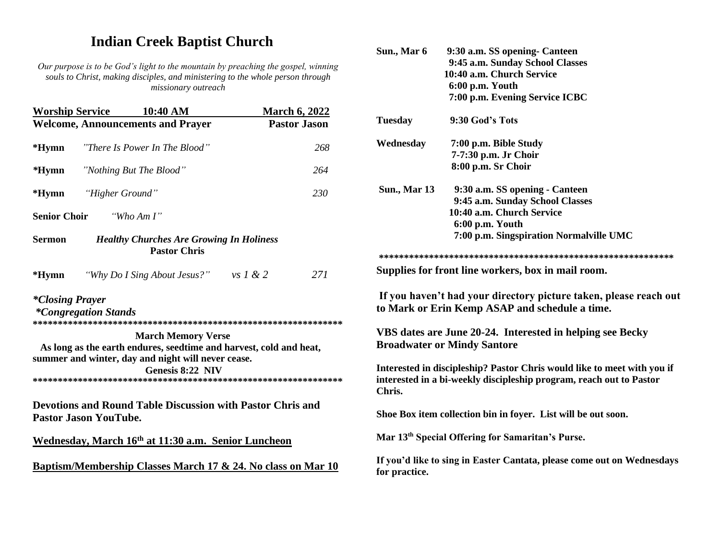## **Indian Creek Baptist Church**

*Our purpose is to be God's light to the mountain by preaching the gospel, winning souls to Christ, making disciples, and ministering to the whole person through missionary outreach*

| <b>Worship Service</b> | 10:40 AM                                                                                                                                                                  | <b>March 6, 2022</b> |                        |
|------------------------|---------------------------------------------------------------------------------------------------------------------------------------------------------------------------|----------------------|------------------------|
|                        | <b>Welcome, Announcements and Prayer</b>                                                                                                                                  | <b>Pastor Jason</b>  | Tu                     |
| $*Hymn$                | "There Is Power In The Blood"                                                                                                                                             | 268                  | $\bf{W}$               |
| $*Hymn$                | "Nothing But The Blood"                                                                                                                                                   | 264                  |                        |
| $*Hymn$                | "Higher Ground"                                                                                                                                                           | 230                  | Sī                     |
| <b>Senior Choir</b>    | "Who Am $I$ "                                                                                                                                                             |                      |                        |
| <b>Sermon</b>          | <b>Healthy Churches Are Growing In Holiness</b><br><b>Pastor Chris</b>                                                                                                    |                      | $* *$                  |
| $*Hymn$                | "Why Do I Sing About Jesus?" vs $1 \& 2$                                                                                                                                  | 271                  | Su                     |
| <i>*Closing Prayer</i> | <i>*Congregation Stands</i>                                                                                                                                               |                      | If<br>to               |
|                        | <b>March Memory Verse</b><br>As long as the earth endures, seedtime and harvest, cold and heat,<br>summer and winter, day and night will never cease.<br>Genesis 8:22 NIV |                      | VI<br>Br<br>Int<br>int |
|                        | Devotions and Round Table Discussion with Pastor Chris and<br><b>Pastor Jason YouTube.</b>                                                                                |                      | Ch<br>Sh               |
|                        | Wednesday, March 16th at 11:30 a.m. Senior Luncheon                                                                                                                       |                      | M                      |
|                        | Baptism/Membership Classes March 17 & 24. No class on Mar 10                                                                                                              |                      | If $\mathbf y$<br>₽.   |

| Sun., Mar 6         | 9:30 a.m. SS opening- Canteen                                                                                                                  |
|---------------------|------------------------------------------------------------------------------------------------------------------------------------------------|
|                     | 9:45 a.m. Sunday School Classes                                                                                                                |
|                     | 10:40 a.m. Church Service                                                                                                                      |
|                     | 6:00 p.m. Youth                                                                                                                                |
|                     | 7:00 p.m. Evening Service ICBC                                                                                                                 |
| <b>Tuesday</b>      | 9:30 God's Tots                                                                                                                                |
| Wednesday           | 7:00 p.m. Bible Study                                                                                                                          |
|                     | 7-7:30 p.m. Jr Choir                                                                                                                           |
|                     | 8:00 p.m. Sr Choir                                                                                                                             |
| <b>Sun., Mar 13</b> | 9:30 a.m. SS opening - Canteen                                                                                                                 |
|                     | 9:45 a.m. Sunday School Classes                                                                                                                |
|                     | 10:40 a.m. Church Service                                                                                                                      |
|                     | 6:00 p.m. Youth                                                                                                                                |
|                     | 7:00 p.m. Singspiration Normalville UMC                                                                                                        |
|                     |                                                                                                                                                |
|                     | Supplies for front line workers, box in mail room.                                                                                             |
|                     | If you haven't had your directory picture taken, please reach out<br>to Mark or Erin Kemp ASAP and schedule a time.                            |
|                     | VBS dates are June 20-24. Interested in helping see Becky<br><b>Broadwater or Mindy Santore</b>                                                |
| Chris.              | Interested in discipleship? Pastor Chris would like to meet with you if<br>interested in a bi-weekly discipleship program, reach out to Pastor |
|                     | Shoe Box item collection bin in foyer. List will be out soon.                                                                                  |
|                     | Mar 13 <sup>th</sup> Special Offering for Samaritan's Purse.                                                                                   |
| for practice.       | If you'd like to sing in Easter Cantata, please come out on Wednesdays                                                                         |